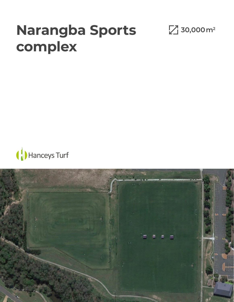## **Narangba Sports complex**

**30,000 m 2**



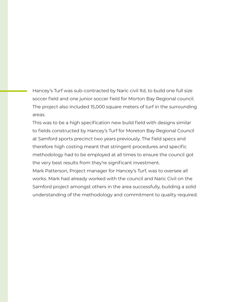Hancey's Turf was sub-contracted by Naric civil ltd, to build one full size soccer field and one junior soccer field for Morton Bay Regional council. The project also included 15,000 square meters of turf in the surrounding areas.

This was to be a high specification new build field with designs similar to fields constructed by Hancey's Turf for Moreton Bay Regional Council at Samford sports precinct two years previously. The field specs and therefore high costing meant that stringent procedures and specific methodology had to be employed at all times to ensure the council got the very best results from they're significant investment.

Mark Patterson, Project manager for Hancey's Turf, was to oversee all works. Mark had already worked with the council and Naric Civil on the Samford project amongst others in the area successfully, building a solid understanding of the methodology and commitment to quality required.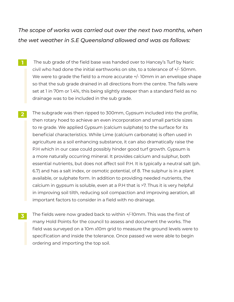*The scope of works was carried out over the next two months, when the wet weather in S.E Queensland allowed and was as follows:*

- The sub grade of the field base was handed over to Hancey's Turf by Naric civil who had done the initial earthworks on site, to a tolerance of +/- 50mm. We were to grade the field to a more accurate  $+/-10$ mm in an envelope shape so that the sub grade drained in all directions from the centre. The falls were set at 1 in 70m or 1.4%, this being slightly steeper than a standard field as no drainage was to be included in the sub grade. **1**
- The subgrade was then ripped to 300mm, Gypsum included into the profile, then rotary hoed to achieve an even incorporation and small particle sizes to re grade. We applied Gypsum (calcium sulphate) to the surface for its beneficial characteristics. While Lime (calcium carbonate) is often used in agriculture as a soil enhancing substance, it can also dramatically raise the P.H which in our case could possibly hinder good turf growth. Gypsum is a more naturally occurring mineral. It provides calcium and sulphur, both essential nutrients, but does not affect soil P.H. It is typically a neutral salt (ph. 6.7) and has a salt index, or osmotic potential, of 8. The sulphur is in a plant available, or sulphate form. In addition to providing needed nutrients, the calcium in gypsum is soluble, even at a P.H that is >7. Thus it is very helpful in improving soil tilth, reducing soil compaction and improving aeration, all important factors to consider in a field with no drainage. **2**
- The fields were now graded back to within +/-10mm. This was the first of many Hold Points for the council to assess and document the works. The field was surveyed on a 10m x10m grid to measure the ground levels were to specification and inside the tolerance. Once passed we were able to begin ordering and importing the top soil. **3**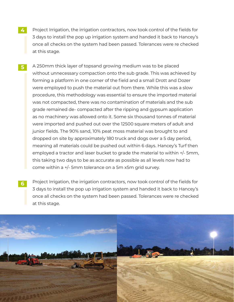- Project Irrigation, the irrigation contractors, now took control of the fields for 3 days to install the pop up irrigation system and handed it back to Hancey's once all checks on the system had been passed. Tolerances were re checked at this stage. **4**
- A 250mm thick layer of topsand growing medium was to be placed without unnecessary compaction onto the sub grade. This was achieved by forming a platform in one corner of the field and a small Drott and Dozer were employed to push the material out from there. While this was a slow procedure, this methodology was essential to ensure the imported material was not compacted, there was no contamination of materials and the sub grade remained de- compacted after the ripping and gypsum application as no machinery was allowed onto it. Some six thousand tonnes of material were imported and pushed out over the 12500 square meters of adult and junior fields. The 90% sand, 10% peat moss material was brought to and dropped on site by approximately 180 truck and dogs over a 5 day period, meaning all materials could be pushed out within 6 days. Hancey's Turf then employed a tractor and laser bucket to grade the material to within +/- 5mm, this taking two days to be as accurate as possible as all levels now had to come within a +/- 5mm tolerance on a 5m x5m grid survey. **5**
- Project Irrigation, the irrigation contractors, now took control of the fields for 3 days to install the pop up irrigation system and handed it back to Hancey's once all checks on the system had been passed. Tolerances were re checked at this stage. **6**

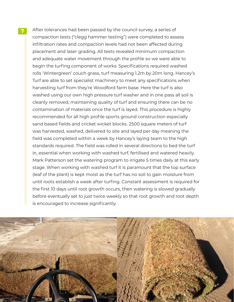After tolerances had been passed by the council survey, a series of compaction tests ("clegg hammer testing") were completed to assess infiltration rates and compaction levels had not been affected during placement and laser grading. All tests revealed minimum compaction and adequate water movement through the profile so we were able to begin the turfing component of works. Specifications required washed rolls 'Wintergreen' couch grass, turf measuring 1.2m by 20m long. Hancey's Turf are able to set specialist machinery to meet any specifications when harvesting turf from they're Woodford farm base. Here the turf is also washed using our own high pressure turf washer and in one pass all soil is cleanly removed, maintaining quality of turf and ensuring there can be no contamination of materials once the turf is layed. This procedure is highly recommended for all high profile sports ground construction especially sand based fields and cricket wicket blocks. 2500 square meters of turf was harvested, washed, delivered to site and layed per day meaning the field was completed within a week by Hancey's laying team to the high standards required. The field was rolled in several directions to bed the turf in, essential when working with washed turf, fertilised and watered heavily. Mark Patterson set the watering program to irrigate 5 times daily at this early stage. When working with washed turf it is paramount that the top surface (leaf of the plant) is kept moist as the turf has no soil to gain moisture from until roots establish a week after turfing. Constant assessment is required for the first 10 days until root growth occurs, then watering is slowed gradually before eventually set to just twice weekly so that root growth and root depth is encouraged to increase significantly.

**7**

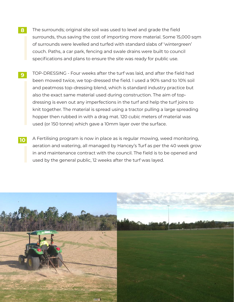- The surrounds; original site soil was used to level and grade the field surrounds, thus saving the cost of importing more material. Some 15,000 sqm of surrounds were levelled and turfed with standard slabs of 'wintergreen' couch. Paths, a car park, fencing and swale drains were built to council specifications and plans to ensure the site was ready for public use. **8**
- TOP-DRESSING Four weeks after the turf was laid, and after the field had been mowed twice, we top-dressed the field. I used a 90% sand to 10% soil and peatmoss top-dressing blend, which is standard industry practice but also the exact same material used during construction. The aim of topdressing is even out any imperfections in the turf and help the turf joins to knit together. The material is spread using a tractor pulling a large spreading hopper then rubbed in with a drag mat. 120 cubic meters of material was used (or 150 tonne) which gave a 10mm layer over the surface. **9**
- A Fertilising program is now in place as is regular mowing, weed monitoring, aeration and watering, all managed by Hancey's Turf as per the 40 week grow in and maintenance contract with the council. The field is to be opened and used by the general public, 12 weeks after the turf was layed. **10**